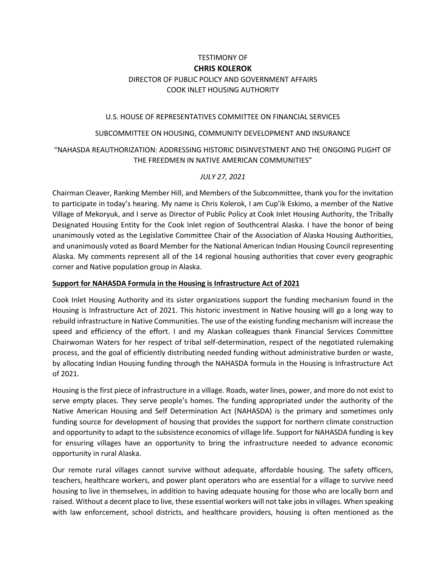# TESTIMONY OF **CHRIS KOLEROK** DIRECTOR OF PUBLIC POLICY AND GOVERNMENT AFFAIRS COOK INLET HOUSING AUTHORITY

#### U.S. HOUSE OF REPRESENTATIVES COMMITTEE ON FINANCIAL SERVICES

#### SUBCOMMITTEE ON HOUSING, COMMUNITY DEVELOPMENT AND INSURANCE

# "NAHASDA REAUTHORIZATION: ADDRESSING HISTORIC DISINVESTMENT AND THE ONGOING PLIGHT OF THE FREEDMEN IN NATIVE AMERICAN COMMUNITIES"

### *JULY 27, 2021*

Chairman Cleaver, Ranking Member Hill, and Members of the Subcommittee, thank you for the invitation to participate in today's hearing. My name is Chris Kolerok, I am Cup'ik Eskimo, a member of the Native Village of Mekoryuk, and I serve as Director of Public Policy at Cook Inlet Housing Authority, the Tribally Designated Housing Entity for the Cook Inlet region of Southcentral Alaska. I have the honor of being unanimously voted as the Legislative Committee Chair of the Association of Alaska Housing Authorities, and unanimously voted as Board Member for the National American Indian Housing Council representing Alaska. My comments represent all of the 14 regional housing authorities that cover every geographic corner and Native population group in Alaska.

#### **Support for NAHASDA Formula in the Housing is Infrastructure Act of 2021**

Cook Inlet Housing Authority and its sister organizations support the funding mechanism found in the Housing is Infrastructure Act of 2021. This historic investment in Native housing will go a long way to rebuild infrastructure in Native Communities. The use of the existing funding mechanism will increase the speed and efficiency of the effort. I and my Alaskan colleagues thank Financial Services Committee Chairwoman Waters for her respect of tribal self-determination, respect of the negotiated rulemaking process, and the goal of efficiently distributing needed funding without administrative burden or waste, by allocating Indian Housing funding through the NAHASDA formula in the Housing is Infrastructure Act of 2021.

Housing is the first piece of infrastructure in a village. Roads, water lines, power, and more do not exist to serve empty places. They serve people's homes. The funding appropriated under the authority of the Native American Housing and Self Determination Act (NAHASDA) is the primary and sometimes only funding source for development of housing that provides the support for northern climate construction and opportunity to adapt to the subsistence economics of village life. Support for NAHASDA funding is key for ensuring villages have an opportunity to bring the infrastructure needed to advance economic opportunity in rural Alaska.

Our remote rural villages cannot survive without adequate, affordable housing. The safety officers, teachers, healthcare workers, and power plant operators who are essential for a village to survive need housing to live in themselves, in addition to having adequate housing for those who are locally born and raised. Without a decent place to live, these essential workers will not take jobs in villages. When speaking with law enforcement, school districts, and healthcare providers, housing is often mentioned as the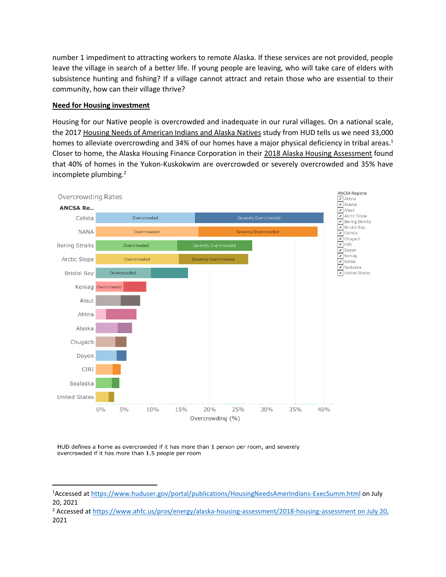number 1 impediment to attracting workers to remote Alaska. If these services are not provided, people leave the village in search of a better life. If young people are leaving, who will take care of elders with subsistence hunting and fishing? If a village cannot attract and retain those who are essential to their community, how can their village thrive?

### **Need for Housing investment**

l

Housing for our Native people is overcrowded and inadequate in our rural villages. On a national scale, the 2017 Housing Needs of American Indians and Alaska Natives study from HUD tells us we need 33,000 homes to alleviate overcrowding and 34% of our homes have a major physical deficiency in tribal areas.<sup>1</sup> Closer to home, the Alaska Housing Finance Corporation in their 2018 Alaska Housing Assessment found that 40% of homes in the Yukon-Kuskokwim are overcrowded or severely overcrowded and 35% have incomplete plumbing.<sup>2</sup>



HUD defines a home as overcrowded if it has more than 1 person per room, and severely overcrowded if it has more than 1.5 people per room

<sup>1</sup>Accessed at<https://www.huduser.gov/portal/publications/HousingNeedsAmerIndians-ExecSumm.html> on July 20, 2021

<sup>&</sup>lt;sup>2</sup> Accessed at https://www.ahfc.us/pros/energy/alaska-housing-assessment/2018-housing-assessment on July 20, 2021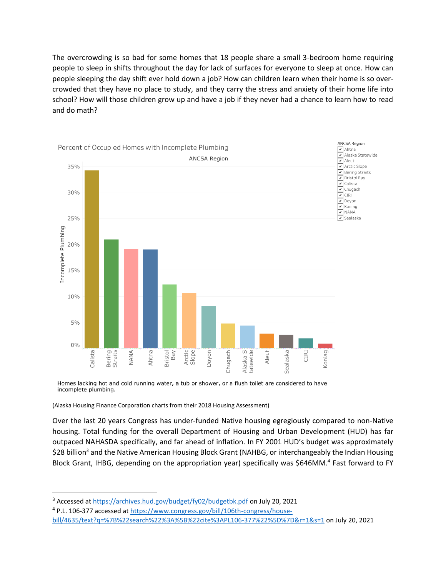The overcrowding is so bad for some homes that 18 people share a small 3-bedroom home requiring people to sleep in shifts throughout the day for lack of surfaces for everyone to sleep at once. How can people sleeping the day shift ever hold down a job? How can children learn when their home is so overcrowded that they have no place to study, and they carry the stress and anxiety of their home life into school? How will those children grow up and have a job if they never had a chance to learn how to read and do math?



Homes lacking hot and cold running water, a tub or shower, or a flush toilet are considered to have incomplete plumbing.

(Alaska Housing Finance Corporation charts from their 2018 Housing Assessment)

Over the last 20 years Congress has under-funded Native housing egregiously compared to non-Native housing. Total funding for the overall Department of Housing and Urban Development (HUD) has far outpaced NAHASDA specifically, and far ahead of inflation. In FY 2001 HUD's budget was approximately \$28 billion<sup>3</sup> and the Native American Housing Block Grant (NAHBG, or interchangeably the Indian Housing Block Grant, IHBG, depending on the appropriation year) specifically was \$646MM.<sup>4</sup> Fast forward to FY

l

<sup>&</sup>lt;sup>3</sup> Accessed a[t https://archives.hud.gov/budget/fy02/budgetbk.pdf](https://archives.hud.gov/budget/fy02/budgetbk.pdf) on July 20, 2021

<sup>&</sup>lt;sup>4</sup> P.L. 106-377 accessed at [https://www.congress.gov/bill/106th-congress/house](https://www.congress.gov/bill/106th-congress/house-bill/4635/text?q=%7B%22search%22%3A%5B%22cite%3APL106-377%22%5D%7D&r=1&s=1)[bill/4635/text?q=%7B%22search%22%3A%5B%22cite%3APL106-377%22%5D%7D&r=1&s=1](https://www.congress.gov/bill/106th-congress/house-bill/4635/text?q=%7B%22search%22%3A%5B%22cite%3APL106-377%22%5D%7D&r=1&s=1) on July 20, 2021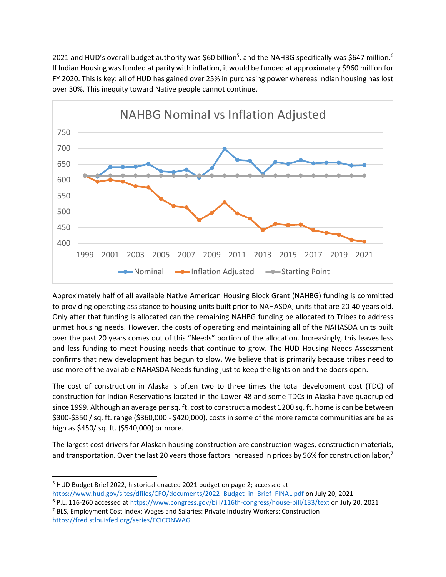2021 and HUD's overall budget authority was \$60 billion<sup>5</sup>, and the NAHBG specifically was \$647 million.<sup>6</sup> If Indian Housing was funded at parity with inflation, it would be funded at approximately \$960 million for FY 2020. This is key: all of HUD has gained over 25% in purchasing power whereas Indian housing has lost over 30%. This inequity toward Native people cannot continue.



Approximately half of all available Native American Housing Block Grant (NAHBG) funding is committed to providing operating assistance to housing units built prior to NAHASDA, units that are 20-40 years old. Only after that funding is allocated can the remaining NAHBG funding be allocated to Tribes to address unmet housing needs. However, the costs of operating and maintaining all of the NAHASDA units built over the past 20 years comes out of this "Needs" portion of the allocation. Increasingly, this leaves less and less funding to meet housing needs that continue to grow. The HUD Housing Needs Assessment confirms that new development has begun to slow. We believe that is primarily because tribes need to use more of the available NAHASDA Needs funding just to keep the lights on and the doors open.

The cost of construction in Alaska is often two to three times the total development cost (TDC) of construction for Indian Reservations located in the Lower-48 and some TDCs in Alaska have quadrupled since 1999. Although an average per sq. ft. cost to construct a modest 1200 sq. ft. home is can be between \$300-\$350 / sq. ft. range (\$360,000 - \$420,000), costs in some of the more remote communities are be as high as \$450/ sq. ft. (\$540,000) or more.

The largest cost drivers for Alaskan housing construction are construction wages, construction materials, and transportation. Over the last 20 years those factors increased in prices by 56% for construction labor,<sup>7</sup>

 $\overline{\phantom{a}}$ 

<sup>5</sup> HUD Budget Brief 2022, historical enacted 2021 budget on page 2; accessed at [https://www.hud.gov/sites/dfiles/CFO/documents/2022\\_Budget\\_in\\_Brief\\_FINAL.pdf](https://www.hud.gov/sites/dfiles/CFO/documents/2022_Budget_in_Brief_FINAL.pdf) on July 20, 2021

<sup>6</sup> P.L. 116-260 accessed at<https://www.congress.gov/bill/116th-congress/house-bill/133/text> on July 20. 2021  $<sup>7</sup>$  BLS, Employment Cost Index: Wages and Salaries: Private Industry Workers: Construction</sup>

<https://fred.stlouisfed.org/series/ECICONWAG>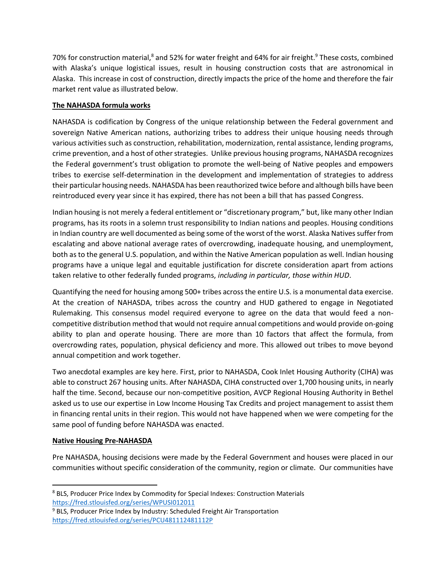70% for construction material,<sup>8</sup> and 52% for water freight and 64% for air freight.<sup>9</sup> These costs, combined with Alaska's unique logistical issues, result in housing construction costs that are astronomical in Alaska. This increase in cost of construction, directly impacts the price of the home and therefore the fair market rent value as illustrated below.

## **The NAHASDA formula works**

NAHASDA is codification by Congress of the unique relationship between the Federal government and sovereign Native American nations, authorizing tribes to address their unique housing needs through various activities such as construction, rehabilitation, modernization, rental assistance, lending programs, crime prevention, and a host of other strategies. Unlike previous housing programs, NAHASDA recognizes the Federal government's trust obligation to promote the well-being of Native peoples and empowers tribes to exercise self-determination in the development and implementation of strategies to address their particular housing needs. NAHASDA has been reauthorized twice before and although bills have been reintroduced every year since it has expired, there has not been a bill that has passed Congress.

Indian housing is not merely a federal entitlement or "discretionary program," but, like many other Indian programs, has its roots in a solemn trust responsibility to Indian nations and peoples. Housing conditions in Indian country are well documented as being some of the worst of the worst. Alaska Natives suffer from escalating and above national average rates of overcrowding, inadequate housing, and unemployment, both as to the general U.S. population, and within the Native American population as well. Indian housing programs have a unique legal and equitable justification for discrete consideration apart from actions taken relative to other federally funded programs, *including in particular, those within HUD*.

Quantifying the need for housing among 500+ tribes across the entire U.S. is a monumental data exercise. At the creation of NAHASDA, tribes across the country and HUD gathered to engage in Negotiated Rulemaking. This consensus model required everyone to agree on the data that would feed a noncompetitive distribution method that would not require annual competitions and would provide on-going ability to plan and operate housing. There are more than 10 factors that affect the formula, from overcrowding rates, population, physical deficiency and more. This allowed out tribes to move beyond annual competition and work together.

Two anecdotal examples are key here. First, prior to NAHASDA, Cook Inlet Housing Authority (CIHA) was able to construct 267 housing units. After NAHASDA, CIHA constructed over 1,700 housing units, in nearly half the time. Second, because our non-competitive position, AVCP Regional Housing Authority in Bethel asked us to use our expertise in Low Income Housing Tax Credits and project management to assist them in financing rental units in their region. This would not have happened when we were competing for the same pool of funding before NAHASDA was enacted.

# **Native Housing Pre-NAHASDA**

l

Pre NAHASDA, housing decisions were made by the Federal Government and houses were placed in our communities without specific consideration of the community, region or climate. Our communities have

<sup>8</sup> BLS, Producer Price Index by Commodity for Special Indexes: Construction Materials <https://fred.stlouisfed.org/series/WPUSI012011>

<sup>&</sup>lt;sup>9</sup> BLS, Producer Price Index by Industry: Scheduled Freight Air Transportation <https://fred.stlouisfed.org/series/PCU481112481112P>